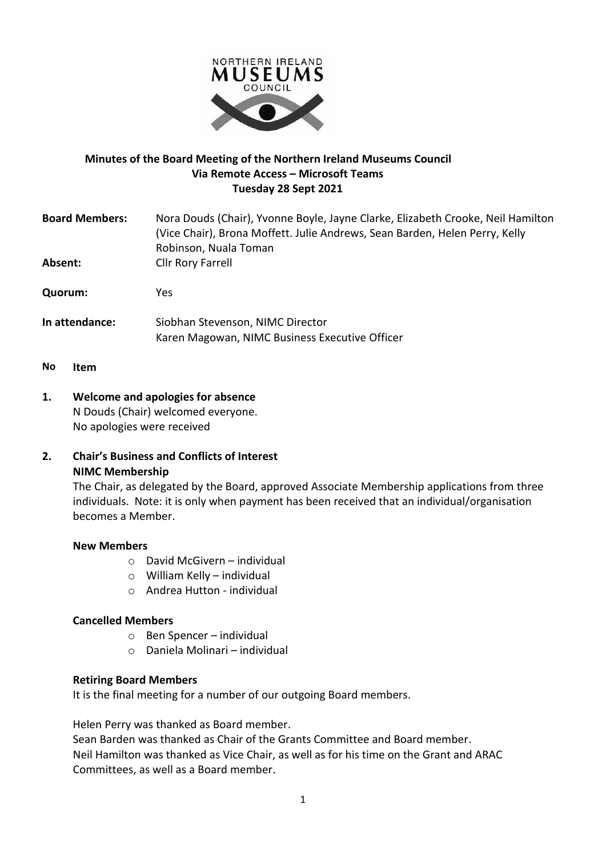

# **Minutes of the Board Meeting of the Northern Ireland Museums Council Via Remote Access – Microsoft Teams Tuesday 28 Sept 2021**

| <b>Board Members:</b> | Nora Douds (Chair), Yvonne Boyle, Jayne Clarke, Elizabeth Crooke, Neil Hamilton<br>(Vice Chair), Brona Moffett. Julie Andrews, Sean Barden, Helen Perry, Kelly<br>Robinson, Nuala Toman |
|-----------------------|-----------------------------------------------------------------------------------------------------------------------------------------------------------------------------------------|
| Absent:               | Cllr Rory Farrell                                                                                                                                                                       |
| Quorum:               | Yes.                                                                                                                                                                                    |
| In attendance:        | Siobhan Stevenson, NIMC Director<br>Karen Magowan, NIMC Business Executive Officer                                                                                                      |
|                       |                                                                                                                                                                                         |

- **No Item**
- **1. Welcome and apologies for absence** N Douds (Chair) welcomed everyone. No apologies were received

# **2. Chair's Business and Conflicts of Interest NIMC Membership**

The Chair, as delegated by the Board, approved Associate Membership applications from three individuals. Note: it is only when payment has been received that an individual/organisation becomes a Member.

#### **New Members**

- o David McGivern individual
- o William Kelly individual
- o Andrea Hutton individual

# **Cancelled Members**

- o Ben Spencer individual
- o Daniela Molinari individual

#### **Retiring Board Members**

It is the final meeting for a number of our outgoing Board members.

Helen Perry was thanked as Board member.

Sean Barden was thanked as Chair of the Grants Committee and Board member. Neil Hamilton was thanked as Vice Chair, as well as for his time on the Grant and ARAC Committees, as well as a Board member.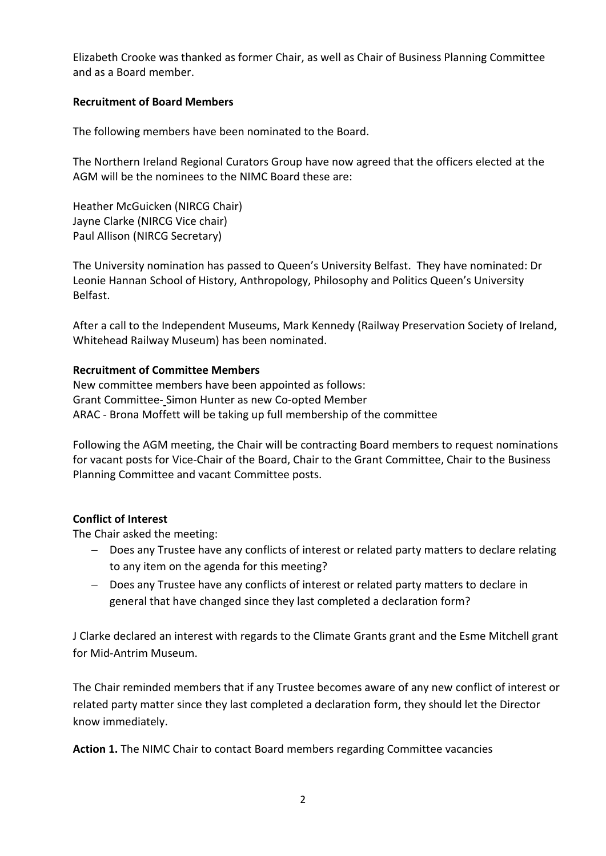Elizabeth Crooke was thanked as former Chair, as well as Chair of Business Planning Committee and as a Board member.

# **Recruitment of Board Members**

The following members have been nominated to the Board.

The Northern Ireland Regional Curators Group have now agreed that the officers elected at the AGM will be the nominees to the NIMC Board these are:

Heather McGuicken (NIRCG Chair) Jayne Clarke (NIRCG Vice chair) Paul Allison (NIRCG Secretary)

The University nomination has passed to Queen's University Belfast. They have nominated: Dr Leonie Hannan School of History, Anthropology, Philosophy and Politics Queen's University Belfast.

After a call to the Independent Museums, Mark Kennedy (Railway Preservation Society of Ireland, Whitehead Railway Museum) has been nominated.

# **Recruitment of Committee Members**

New committee members have been appointed as follows: Grant Committee- Simon Hunter as new Co-opted Member ARAC - Brona Moffett will be taking up full membership of the committee

Following the AGM meeting, the Chair will be contracting Board members to request nominations for vacant posts for Vice-Chair of the Board, Chair to the Grant Committee, Chair to the Business Planning Committee and vacant Committee posts.

# **Conflict of Interest**

The Chair asked the meeting:

- − Does any Trustee have any conflicts of interest or related party matters to declare relating to any item on the agenda for this meeting?
- − Does any Trustee have any conflicts of interest or related party matters to declare in general that have changed since they last completed a declaration form?

J Clarke declared an interest with regards to the Climate Grants grant and the Esme Mitchell grant for Mid-Antrim Museum.

The Chair reminded members that if any Trustee becomes aware of any new conflict of interest or related party matter since they last completed a declaration form, they should let the Director know immediately.

**Action 1.** The NIMC Chair to contact Board members regarding Committee vacancies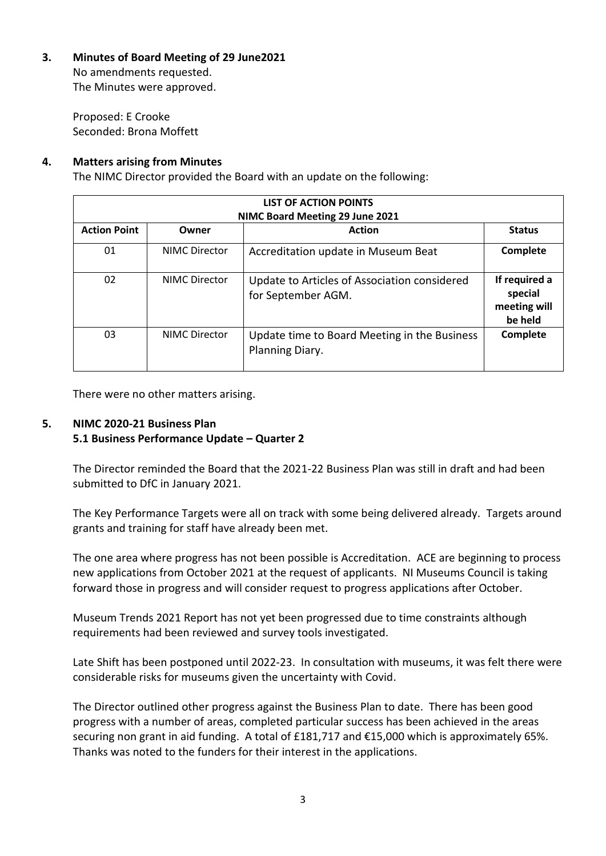**3. Minutes of Board Meeting of 29 June2021**

No amendments requested. The Minutes were approved.

Proposed: E Crooke Seconded: Brona Moffett

# **4. Matters arising from Minutes**

The NIMC Director provided the Board with an update on the following:

| <b>LIST OF ACTION POINTS</b><br>NIMC Board Meeting 29 June 2021 |                      |                                                                    |                                                     |  |  |  |  |
|-----------------------------------------------------------------|----------------------|--------------------------------------------------------------------|-----------------------------------------------------|--|--|--|--|
| <b>Action Point</b>                                             | Owner                | <b>Action</b>                                                      | <b>Status</b>                                       |  |  |  |  |
| 01                                                              | <b>NIMC Director</b> | Accreditation update in Museum Beat                                | Complete                                            |  |  |  |  |
| 02                                                              | <b>NIMC Director</b> | Update to Articles of Association considered<br>for September AGM. | If required a<br>special<br>meeting will<br>be held |  |  |  |  |
| 03                                                              | <b>NIMC Director</b> | Update time to Board Meeting in the Business<br>Planning Diary.    | Complete                                            |  |  |  |  |

There were no other matters arising.

# **5. NIMC 2020-21 Business Plan**

# **5.1 Business Performance Update – Quarter 2**

The Director reminded the Board that the 2021-22 Business Plan was still in draft and had been submitted to DfC in January 2021.

The Key Performance Targets were all on track with some being delivered already. Targets around grants and training for staff have already been met.

The one area where progress has not been possible is Accreditation. ACE are beginning to process new applications from October 2021 at the request of applicants. NI Museums Council is taking forward those in progress and will consider request to progress applications after October.

Museum Trends 2021 Report has not yet been progressed due to time constraints although requirements had been reviewed and survey tools investigated.

Late Shift has been postponed until 2022-23. In consultation with museums, it was felt there were considerable risks for museums given the uncertainty with Covid.

The Director outlined other progress against the Business Plan to date. There has been good progress with a number of areas, completed particular success has been achieved in the areas securing non grant in aid funding. A total of £181,717 and €15,000 which is approximately 65%. Thanks was noted to the funders for their interest in the applications.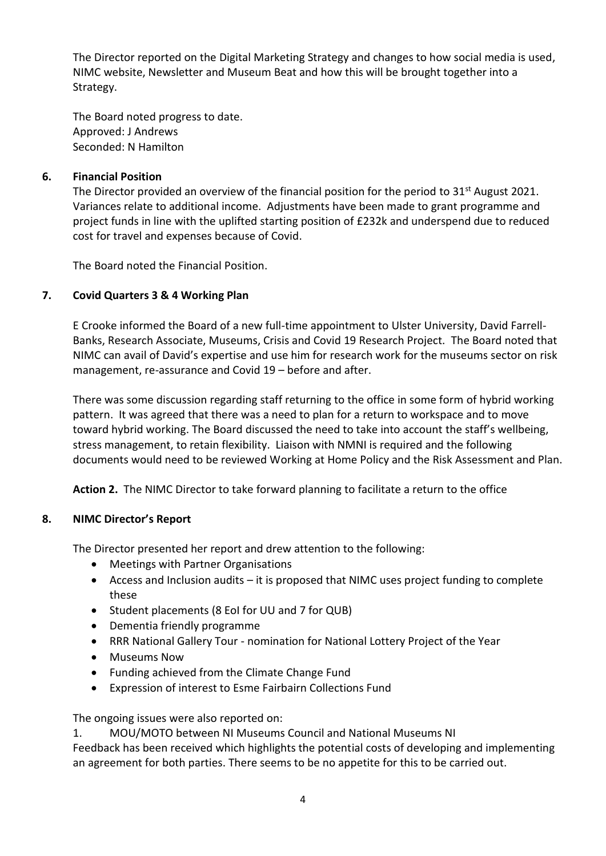The Director reported on the Digital Marketing Strategy and changes to how social media is used, NIMC website, Newsletter and Museum Beat and how this will be brought together into a Strategy.

The Board noted progress to date. Approved: J Andrews Seconded: N Hamilton

## **6. Financial Position**

The Director provided an overview of the financial position for the period to  $31<sup>st</sup>$  August 2021. Variances relate to additional income. Adjustments have been made to grant programme and project funds in line with the uplifted starting position of £232k and underspend due to reduced cost for travel and expenses because of Covid.

The Board noted the Financial Position.

## **7. Covid Quarters 3 & 4 Working Plan**

E Crooke informed the Board of a new full-time appointment to Ulster University, David Farrell-Banks, Research Associate, Museums, Crisis and Covid 19 Research Project. The Board noted that NIMC can avail of David's expertise and use him for research work for the museums sector on risk management, re-assurance and Covid 19 – before and after.

There was some discussion regarding staff returning to the office in some form of hybrid working pattern. It was agreed that there was a need to plan for a return to workspace and to move toward hybrid working. The Board discussed the need to take into account the staff's wellbeing, stress management, to retain flexibility. Liaison with NMNI is required and the following documents would need to be reviewed Working at Home Policy and the Risk Assessment and Plan.

**Action 2.** The NIMC Director to take forward planning to facilitate a return to the office

#### **8. NIMC Director's Report**

The Director presented her report and drew attention to the following:

- Meetings with Partner Organisations
- Access and Inclusion audits it is proposed that NIMC uses project funding to complete these
- Student placements (8 EoI for UU and 7 for QUB)
- Dementia friendly programme
- RRR National Gallery Tour nomination for National Lottery Project of the Year
- Museums Now
- Funding achieved from the Climate Change Fund
- Expression of interest to Esme Fairbairn Collections Fund

The ongoing issues were also reported on:

1. MOU/MOTO between NI Museums Council and National Museums NI Feedback has been received which highlights the potential costs of developing and implementing an agreement for both parties. There seems to be no appetite for this to be carried out.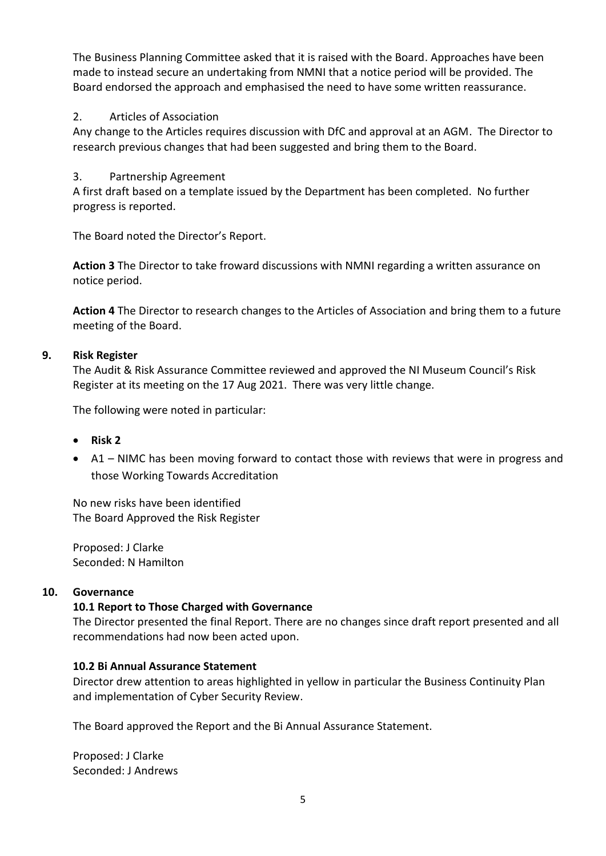The Business Planning Committee asked that it is raised with the Board. Approaches have been made to instead secure an undertaking from NMNI that a notice period will be provided. The Board endorsed the approach and emphasised the need to have some written reassurance.

# 2. Articles of Association

Any change to the Articles requires discussion with DfC and approval at an AGM. The Director to research previous changes that had been suggested and bring them to the Board.

## 3. Partnership Agreement

A first draft based on a template issued by the Department has been completed. No further progress is reported.

The Board noted the Director's Report.

**Action 3** The Director to take froward discussions with NMNI regarding a written assurance on notice period.

**Action 4** The Director to research changes to the Articles of Association and bring them to a future meeting of the Board.

## **9. Risk Register**

The Audit & Risk Assurance Committee reviewed and approved the NI Museum Council's Risk Register at its meeting on the 17 Aug 2021. There was very little change.

The following were noted in particular:

- **Risk 2**
- A1 NIMC has been moving forward to contact those with reviews that were in progress and those Working Towards Accreditation

No new risks have been identified The Board Approved the Risk Register

Proposed: J Clarke Seconded: N Hamilton

#### **10. Governance**

#### **10.1 Report to Those Charged with Governance**

The Director presented the final Report. There are no changes since draft report presented and all recommendations had now been acted upon.

#### **10.2 Bi Annual Assurance Statement**

Director drew attention to areas highlighted in yellow in particular the Business Continuity Plan and implementation of Cyber Security Review.

The Board approved the Report and the Bi Annual Assurance Statement.

Proposed: J Clarke Seconded: J Andrews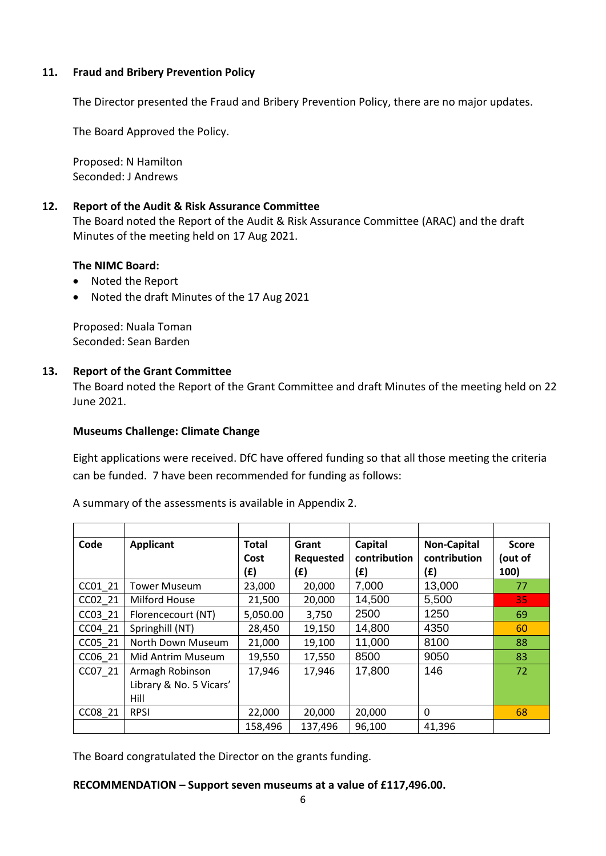## **11. Fraud and Bribery Prevention Policy**

The Director presented the Fraud and Bribery Prevention Policy, there are no major updates.

The Board Approved the Policy.

Proposed: N Hamilton Seconded: J Andrews

#### **12. Report of the Audit & Risk Assurance Committee**

The Board noted the Report of the Audit & Risk Assurance Committee (ARAC) and the draft Minutes of the meeting held on 17 Aug 2021.

## **The NIMC Board:**

- Noted the Report
- Noted the draft Minutes of the 17 Aug 2021

Proposed: Nuala Toman Seconded: Sean Barden

## **13. Report of the Grant Committee**

The Board noted the Report of the Grant Committee and draft Minutes of the meeting held on 22 June 2021.

#### **Museums Challenge: Climate Change**

Eight applications were received. DfC have offered funding so that all those meeting the criteria can be funded. 7 have been recommended for funding as follows:

A summary of the assessments is available in Appendix 2.

| Code    | <b>Applicant</b>        | <b>Total</b> | Grant     | Capital      | <b>Non-Capital</b> | <b>Score</b> |
|---------|-------------------------|--------------|-----------|--------------|--------------------|--------------|
|         |                         | Cost         | Requested | contribution | contribution       | (out of      |
|         |                         | (£)          | (£)       | (£)          | (£)                | 100)         |
| CC01 21 | <b>Tower Museum</b>     | 23,000       | 20,000    | 7,000        | 13,000             | 77           |
| CC02 21 | Milford House           | 21,500       | 20,000    | 14,500       | 5,500              | 35           |
| CC03 21 | Florencecourt (NT)      | 5,050.00     | 3,750     | 2500         | 1250               | 69           |
| CC04 21 | Springhill (NT)         | 28,450       | 19,150    | 14,800       | 4350               | 60           |
| CC05 21 | North Down Museum       | 21,000       | 19,100    | 11,000       | 8100               | 88           |
| CC06 21 | Mid Antrim Museum       | 19,550       | 17,550    | 8500         | 9050               | 83           |
| CC07 21 | Armagh Robinson         | 17,946       | 17,946    | 17,800       | 146                | 72           |
|         | Library & No. 5 Vicars' |              |           |              |                    |              |
|         | Hill                    |              |           |              |                    |              |
| CC08 21 | <b>RPSI</b>             | 22,000       | 20,000    | 20,000       | 0                  | 68           |
|         |                         | 158,496      | 137,496   | 96,100       | 41,396             |              |

The Board congratulated the Director on the grants funding.

#### **RECOMMENDATION – Support seven museums at a value of £117,496.00.**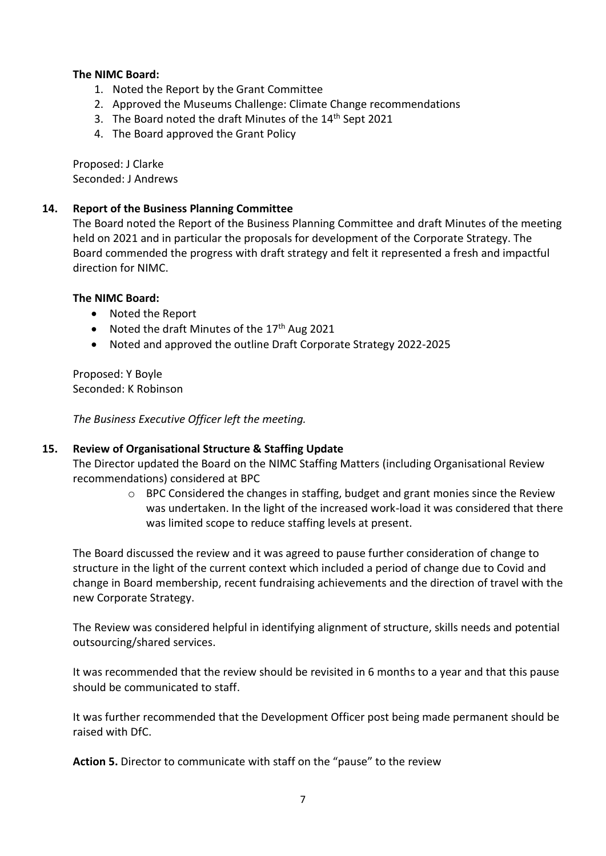## **The NIMC Board:**

- 1. Noted the Report by the Grant Committee
- 2. Approved the Museums Challenge: Climate Change recommendations
- 3. The Board noted the draft Minutes of the 14<sup>th</sup> Sept 2021
- 4. The Board approved the Grant Policy

Proposed: J Clarke Seconded: J Andrews

#### **14. Report of the Business Planning Committee**

The Board noted the Report of the Business Planning Committee and draft Minutes of the meeting held on 2021 and in particular the proposals for development of the Corporate Strategy. The Board commended the progress with draft strategy and felt it represented a fresh and impactful direction for NIMC.

#### **The NIMC Board:**

- Noted the Report
- Noted the draft Minutes of the 17<sup>th</sup> Aug 2021
- Noted and approved the outline Draft Corporate Strategy 2022-2025

Proposed: Y Boyle Seconded: K Robinson

*The Business Executive Officer left the meeting.*

#### **15. Review of Organisational Structure & Staffing Update**

The Director updated the Board on the NIMC Staffing Matters (including Organisational Review recommendations) considered at BPC

> o BPC Considered the changes in staffing, budget and grant monies since the Review was undertaken. In the light of the increased work-load it was considered that there was limited scope to reduce staffing levels at present.

The Board discussed the review and it was agreed to pause further consideration of change to structure in the light of the current context which included a period of change due to Covid and change in Board membership, recent fundraising achievements and the direction of travel with the new Corporate Strategy.

The Review was considered helpful in identifying alignment of structure, skills needs and potential outsourcing/shared services.

It was recommended that the review should be revisited in 6 months to a year and that this pause should be communicated to staff.

It was further recommended that the Development Officer post being made permanent should be raised with DfC.

**Action 5.** Director to communicate with staff on the "pause" to the review